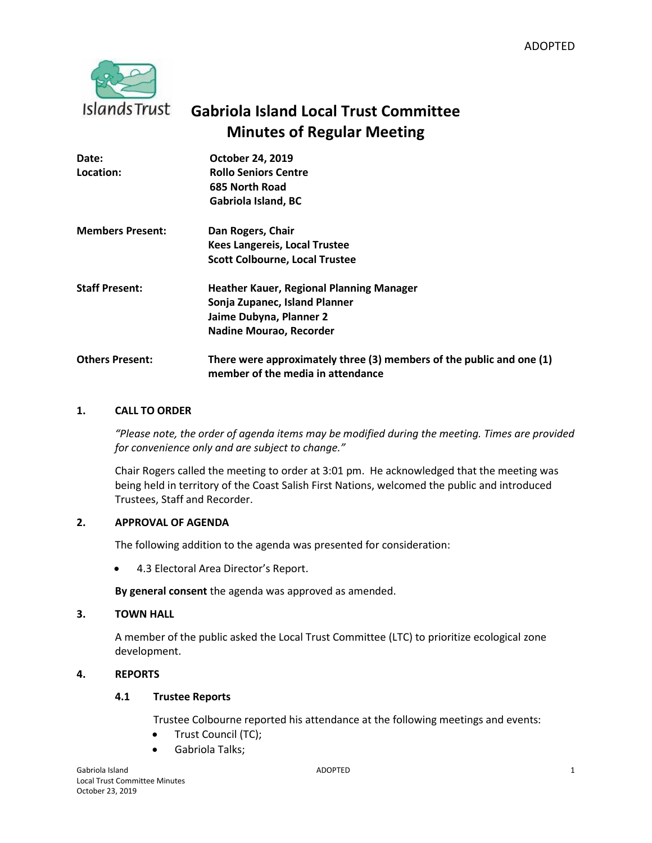

# **Gabriola Island Local Trust Committee Minutes of Regular Meeting**

| Date:<br>Location:      | October 24, 2019<br><b>Rollo Seniors Centre</b><br>685 North Road<br>Gabriola Island, BC                  |
|-------------------------|-----------------------------------------------------------------------------------------------------------|
| <b>Members Present:</b> | Dan Rogers, Chair                                                                                         |
|                         | <b>Kees Langereis, Local Trustee</b>                                                                      |
|                         | <b>Scott Colbourne, Local Trustee</b>                                                                     |
| <b>Staff Present:</b>   | <b>Heather Kauer, Regional Planning Manager</b>                                                           |
|                         | Sonja Zupanec, Island Planner                                                                             |
|                         | Jaime Dubyna, Planner 2                                                                                   |
|                         | <b>Nadine Mourao, Recorder</b>                                                                            |
| <b>Others Present:</b>  | There were approximately three (3) members of the public and one (1)<br>member of the media in attendance |

# **1. CALL TO ORDER**

*"Please note, the order of agenda items may be modified during the meeting. Times are provided for convenience only and are subject to change."*

Chair Rogers called the meeting to order at 3:01 pm. He acknowledged that the meeting was being held in territory of the Coast Salish First Nations, welcomed the public and introduced Trustees, Staff and Recorder.

## **2. APPROVAL OF AGENDA**

The following addition to the agenda was presented for consideration:

4.3 Electoral Area Director's Report.

**By general consent** the agenda was approved as amended.

## **3. TOWN HALL**

A member of the public asked the Local Trust Committee (LTC) to prioritize ecological zone development.

# **4. REPORTS**

# **4.1 Trustee Reports**

Trustee Colbourne reported his attendance at the following meetings and events:

- Trust Council (TC);
- Gabriola Talks;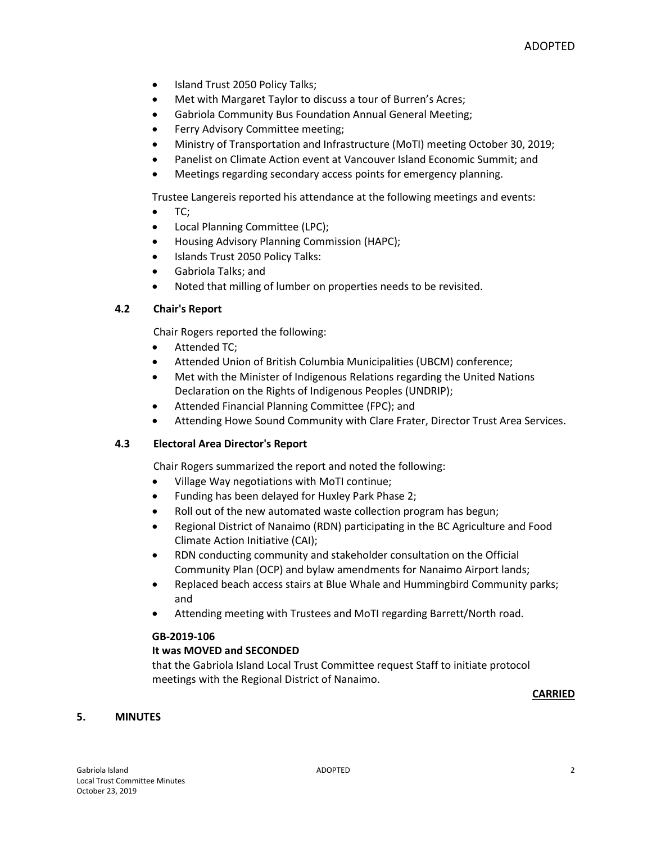- Island Trust 2050 Policy Talks;
- Met with Margaret Taylor to discuss a tour of Burren's Acres;
- Gabriola Community Bus Foundation Annual General Meeting;
- Ferry Advisory Committee meeting;
- Ministry of Transportation and Infrastructure (MoTI) meeting October 30, 2019;
- Panelist on Climate Action event at Vancouver Island Economic Summit; and
- Meetings regarding secondary access points for emergency planning.

Trustee Langereis reported his attendance at the following meetings and events:

- $\bullet$  TC;
- Local Planning Committee (LPC);
- Housing Advisory Planning Commission (HAPC);
- Islands Trust 2050 Policy Talks:
- Gabriola Talks; and
- Noted that milling of lumber on properties needs to be revisited.

# **4.2 Chair's Report**

Chair Rogers reported the following:

- Attended TC;
- Attended Union of British Columbia Municipalities (UBCM) conference;
- Met with the Minister of Indigenous Relations regarding the United Nations Declaration on the Rights of Indigenous Peoples (UNDRIP);
- Attended Financial Planning Committee (FPC); and
- Attending Howe Sound Community with Clare Frater, Director Trust Area Services.

## **4.3 Electoral Area Director's Report**

Chair Rogers summarized the report and noted the following:

- Village Way negotiations with MoTI continue;
- Funding has been delayed for Huxley Park Phase 2;
- Roll out of the new automated waste collection program has begun;
- Regional District of Nanaimo (RDN) participating in the BC Agriculture and Food Climate Action Initiative (CAI);
- RDN conducting community and stakeholder consultation on the Official Community Plan (OCP) and bylaw amendments for Nanaimo Airport lands;
- Replaced beach access stairs at Blue Whale and Hummingbird Community parks; and
- Attending meeting with Trustees and MoTI regarding Barrett/North road.

## **GB-2019-106**

## **It was MOVED and SECONDED**

that the Gabriola Island Local Trust Committee request Staff to initiate protocol meetings with the Regional District of Nanaimo.

#### **CARRIED**

## **5. MINUTES**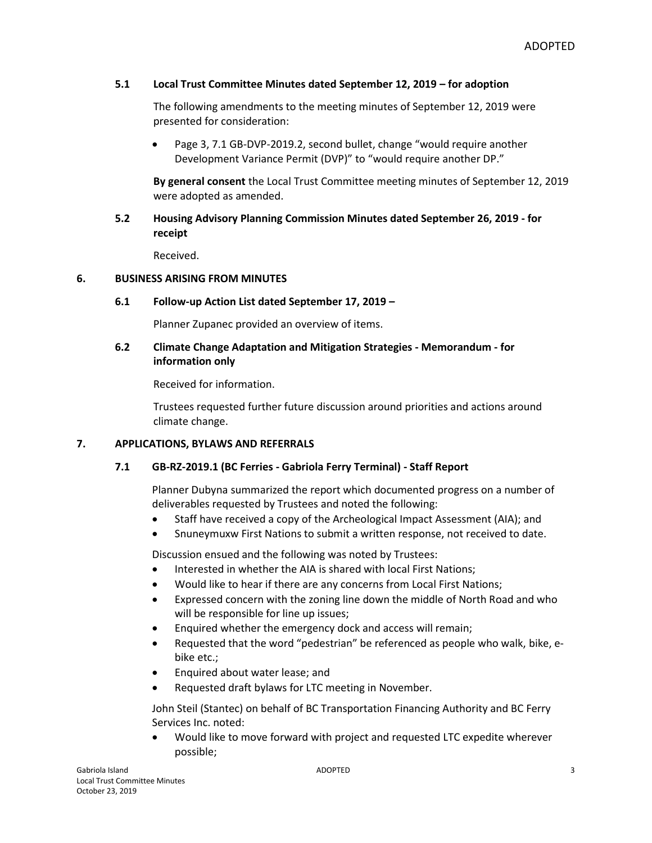# **5.1 Local Trust Committee Minutes dated September 12, 2019 – for adoption**

The following amendments to the meeting minutes of September 12, 2019 were presented for consideration:

• Page 3, 7.1 GB-DVP-2019.2, second bullet, change "would require another Development Variance Permit (DVP)" to "would require another DP."

**By general consent** the Local Trust Committee meeting minutes of September 12, 2019 were adopted as amended.

# **5.2 Housing Advisory Planning Commission Minutes dated September 26, 2019 - for receipt**

Received.

## **6. BUSINESS ARISING FROM MINUTES**

# **6.1 Follow-up Action List dated September 17, 2019 –**

Planner Zupanec provided an overview of items.

# **6.2 Climate Change Adaptation and Mitigation Strategies - Memorandum - for information only**

Received for information.

Trustees requested further future discussion around priorities and actions around climate change.

## **7. APPLICATIONS, BYLAWS AND REFERRALS**

## **7.1 GB-RZ-2019.1 (BC Ferries - Gabriola Ferry Terminal) - Staff Report**

Planner Dubyna summarized the report which documented progress on a number of deliverables requested by Trustees and noted the following:

- Staff have received a copy of the Archeological Impact Assessment (AIA); and
- Snuneymuxw First Nations to submit a written response, not received to date.

Discussion ensued and the following was noted by Trustees:

- Interested in whether the AIA is shared with local First Nations;
- Would like to hear if there are any concerns from Local First Nations;
- Expressed concern with the zoning line down the middle of North Road and who will be responsible for line up issues;
- Enquired whether the emergency dock and access will remain;
- Requested that the word "pedestrian" be referenced as people who walk, bike, ebike etc.;
- Enquired about water lease; and
- Requested draft bylaws for LTC meeting in November.

John Steil (Stantec) on behalf of BC Transportation Financing Authority and BC Ferry Services Inc. noted:

 Would like to move forward with project and requested LTC expedite wherever possible;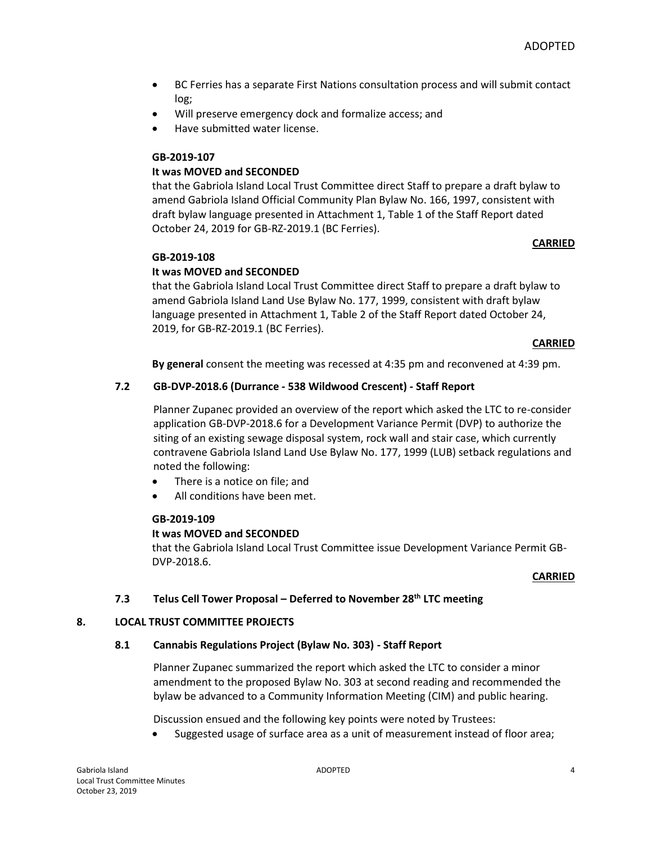- BC Ferries has a separate First Nations consultation process and will submit contact log;
- Will preserve emergency dock and formalize access; and
- Have submitted water license.

# **It was MOVED and SECONDED**

that the Gabriola Island Local Trust Committee direct Staff to prepare a draft bylaw to amend Gabriola Island Official Community Plan Bylaw No. 166, 1997, consistent with draft bylaw language presented in Attachment 1, Table 1 of the Staff Report dated October 24, 2019 for GB-RZ-2019.1 (BC Ferries).

## **CARRIED**

## **GB-2019-108**

# **It was MOVED and SECONDED**

that the Gabriola Island Local Trust Committee direct Staff to prepare a draft bylaw to amend Gabriola Island Land Use Bylaw No. 177, 1999, consistent with draft bylaw language presented in Attachment 1, Table 2 of the Staff Report dated October 24, 2019, for GB-RZ-2019.1 (BC Ferries).

#### **CARRIED**

**By general** consent the meeting was recessed at 4:35 pm and reconvened at 4:39 pm.

## **7.2 GB-DVP-2018.6 (Durrance - 538 Wildwood Crescent) - Staff Report**

Planner Zupanec provided an overview of the report which asked the LTC to re-consider application GB-DVP-2018.6 for a Development Variance Permit (DVP) to authorize the siting of an existing sewage disposal system, rock wall and stair case, which currently contravene Gabriola Island Land Use Bylaw No. 177, 1999 (LUB) setback regulations and noted the following:

- There is a notice on file; and
- All conditions have been met.

#### **GB-2019-109**

## **It was MOVED and SECONDED**

that the Gabriola Island Local Trust Committee issue Development Variance Permit GB-DVP-2018.6.

#### **CARRIED**

#### **7.3 Telus Cell Tower Proposal – Deferred to November 28th LTC meeting**

#### **8. LOCAL TRUST COMMITTEE PROJECTS**

## **8.1 Cannabis Regulations Project (Bylaw No. 303) - Staff Report**

Planner Zupanec summarized the report which asked the LTC to consider a minor amendment to the proposed Bylaw No. 303 at second reading and recommended the bylaw be advanced to a Community Information Meeting (CIM) and public hearing.

Discussion ensued and the following key points were noted by Trustees:

Suggested usage of surface area as a unit of measurement instead of floor area;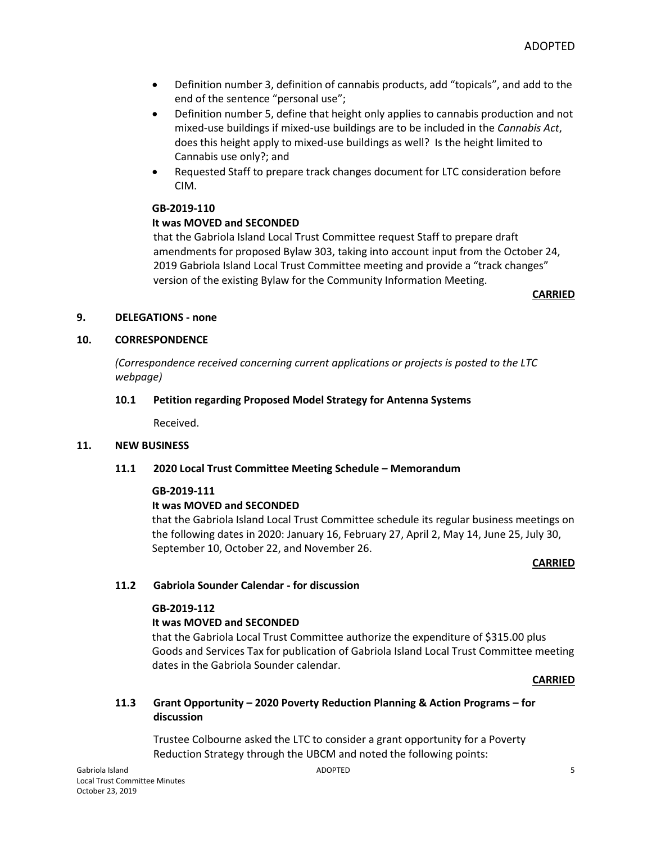- Definition number 3, definition of cannabis products, add "topicals", and add to the end of the sentence "personal use";
- Definition number 5, define that height only applies to cannabis production and not mixed-use buildings if mixed-use buildings are to be included in the *Cannabis Act*, does this height apply to mixed-use buildings as well? Is the height limited to Cannabis use only?; and
- Requested Staff to prepare track changes document for LTC consideration before CIM.

# **It was MOVED and SECONDED**

that the Gabriola Island Local Trust Committee request Staff to prepare draft amendments for proposed Bylaw 303, taking into account input from the October 24, 2019 Gabriola Island Local Trust Committee meeting and provide a "track changes" version of the existing Bylaw for the Community Information Meeting.

**CARRIED**

# **9. DELEGATIONS - none**

# **10. CORRESPONDENCE**

*(Correspondence received concerning current applications or projects is posted to the LTC webpage)*

# **10.1 Petition regarding Proposed Model Strategy for Antenna Systems**

Received.

## **11. NEW BUSINESS**

## **11.1 2020 Local Trust Committee Meeting Schedule – Memorandum**

## **GB-2019-111**

# **It was MOVED and SECONDED**

that the Gabriola Island Local Trust Committee schedule its regular business meetings on the following dates in 2020: January 16, February 27, April 2, May 14, June 25, July 30, September 10, October 22, and November 26.

#### **CARRIED**

# **11.2 Gabriola Sounder Calendar - for discussion**

# **GB-2019-112**

## **It was MOVED and SECONDED**

that the Gabriola Local Trust Committee authorize the expenditure of \$315.00 plus Goods and Services Tax for publication of Gabriola Island Local Trust Committee meeting dates in the Gabriola Sounder calendar.

## **CARRIED**

**11.3 Grant Opportunity – 2020 Poverty Reduction Planning & Action Programs – for discussion**

Trustee Colbourne asked the LTC to consider a grant opportunity for a Poverty Reduction Strategy through the UBCM and noted the following points: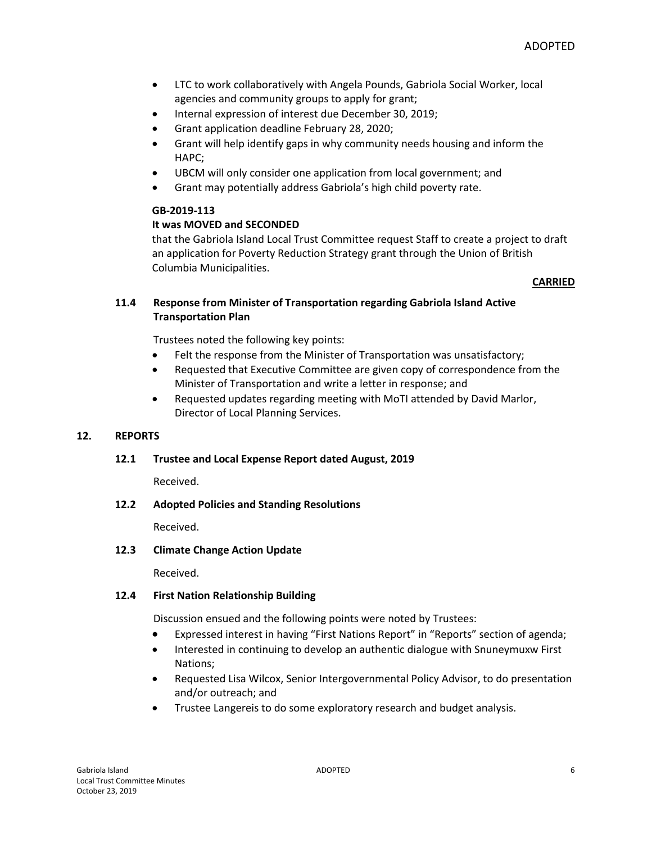- LTC to work collaboratively with Angela Pounds, Gabriola Social Worker, local agencies and community groups to apply for grant;
- Internal expression of interest due December 30, 2019;
- Grant application deadline February 28, 2020;
- Grant will help identify gaps in why community needs housing and inform the HAPC;
- UBCM will only consider one application from local government; and
- Grant may potentially address Gabriola's high child poverty rate.

# **It was MOVED and SECONDED**

that the Gabriola Island Local Trust Committee request Staff to create a project to draft an application for Poverty Reduction Strategy grant through the Union of British Columbia Municipalities.

## **CARRIED**

# **11.4 Response from Minister of Transportation regarding Gabriola Island Active Transportation Plan**

Trustees noted the following key points:

- Felt the response from the Minister of Transportation was unsatisfactory;
- Requested that Executive Committee are given copy of correspondence from the Minister of Transportation and write a letter in response; and
- Requested updates regarding meeting with MoTI attended by David Marlor, Director of Local Planning Services.

## **12. REPORTS**

## **12.1 Trustee and Local Expense Report dated August, 2019**

Received.

## **12.2 Adopted Policies and Standing Resolutions**

Received.

## **12.3 Climate Change Action Update**

Received.

## **12.4 First Nation Relationship Building**

Discussion ensued and the following points were noted by Trustees:

- Expressed interest in having "First Nations Report" in "Reports" section of agenda;
- Interested in continuing to develop an authentic dialogue with Snuneymuxw First Nations;
- Requested Lisa Wilcox, Senior Intergovernmental Policy Advisor, to do presentation and/or outreach; and
- Trustee Langereis to do some exploratory research and budget analysis.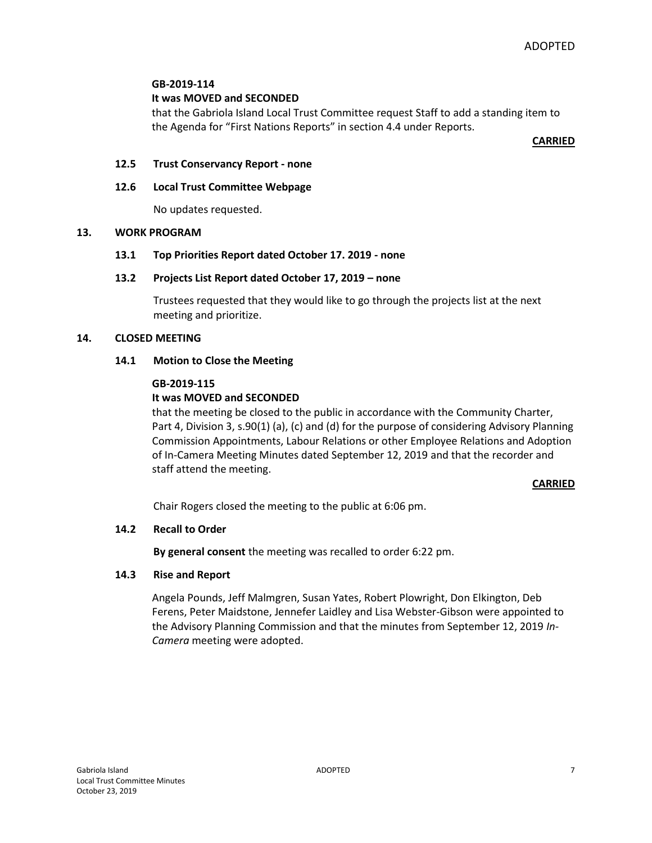## **It was MOVED and SECONDED**

that the Gabriola Island Local Trust Committee request Staff to add a standing item to the Agenda for "First Nations Reports" in section 4.4 under Reports.

**CARRIED**

#### **12.5 Trust Conservancy Report - none**

#### **12.6 Local Trust Committee Webpage**

No updates requested.

#### **13. WORK PROGRAM**

#### **13.1 Top Priorities Report dated October 17. 2019 - none**

#### **13.2 Projects List Report dated October 17, 2019 – none**

Trustees requested that they would like to go through the projects list at the next meeting and prioritize.

#### **14. CLOSED MEETING**

#### **14.1 Motion to Close the Meeting**

#### **GB-2019-115**

## **It was MOVED and SECONDED**

that the meeting be closed to the public in accordance with the Community Charter, Part 4, Division 3, s.90(1) (a), (c) and (d) for the purpose of considering Advisory Planning Commission Appointments, Labour Relations or other Employee Relations and Adoption of In-Camera Meeting Minutes dated September 12, 2019 and that the recorder and staff attend the meeting.

#### **CARRIED**

Chair Rogers closed the meeting to the public at 6:06 pm.

## **14.2 Recall to Order**

**By general consent** the meeting was recalled to order 6:22 pm.

#### **14.3 Rise and Report**

Angela Pounds, Jeff Malmgren, Susan Yates, Robert Plowright, Don Elkington, Deb Ferens, Peter Maidstone, Jennefer Laidley and Lisa Webster-Gibson were appointed to the Advisory Planning Commission and that the minutes from September 12, 2019 *In-Camera* meeting were adopted.